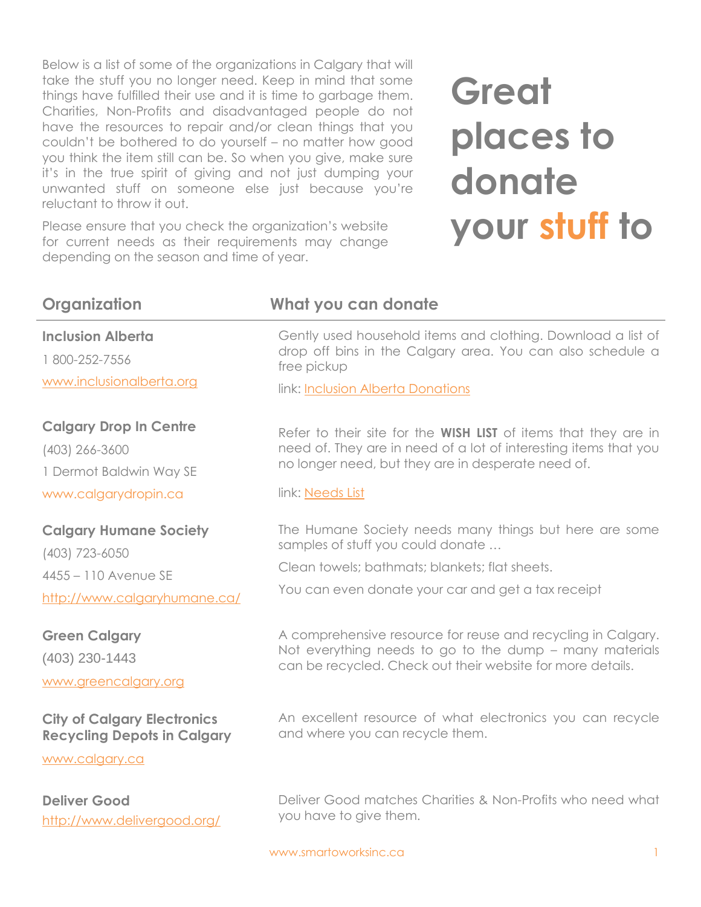Below is a list of some of the organizations in Calgary that will take the stuff you no longer need. Keep in mind that some things have fulfilled their use and it is time to garbage them. Charities, Non-Profits and disadvantaged people do not have the resources to repair and/or clean things that you couldn't be bothered to do yourself – no matter how good you think the item still can be. So when you give, make sure it's in the true spirit of giving and not just dumping your unwanted stuff on someone else just because you're reluctant to throw it out.

Please ensure that you check the organization's website for current needs as their requirements may change depending on the season and time of year.

# **Great places to donate your stuff to**

**Inclusion Alberta**

1 800-252-7556 [www.inclusionalberta.org](http://www.aacl.org/)

# **Calgary Drop In Centre**

(403) 266-3600 1 Dermot Baldwin Way SE [www.calgarydropin.ca](https://www.calgarydropin.ca/)

# **Calgary Humane Society**

(403) 723-6050 4455 – 110 Avenue SE <http://www.calgaryhumane.ca/>

# **Green Calgary**

(403) 230-1443

[www.greencalgary.org](http://www.greencalgary.org/)

**City of Calgary Electronics Recycling Depots in Calgary**

[www.calgary.ca](http://www.calgary.ca/UEP/WRS/Pages/Recycling-information/Residential-services/Electronics-recycling/Electronics-Recyclling-Depots-in-Calgary.aspx)

**Deliver Good** <http://www.delivergood.org/>

# **Organization What you can donate**

Gently used household items and clothing. Download a list of drop off bins in the Calgary area. You can also schedule a free pickup

link: [Inclusion Alberta Donations](http://inclusionalberta.org/get-involved/donations-of-clothing-and-household-goods/)

Refer to their site for the **WISH LIST** of items that they are in need of. They are in need of a lot of interesting items that you no longer need, but they are in desperate need of.

link: [Needs List](https://www.calgarydropin.ca/cms/wp-content/uploads/2018/07/Needs-list-F1.pdf)

The Humane Society needs many things but here are some samples of stuff you could donate …

Clean towels; bathmats; blankets; flat sheets.

You can even donate your car and get a tax receipt

A comprehensive resource for reuse and recycling in Calgary. Not everything needs to go to the dump – many materials can be recycled. Check out their website for more details.

An excellent resource of what electronics you can recycle and where you can recycle them.

Deliver Good matches Charities & Non-Profits who need what you have to give them.

www.smartoworksinc.ca 1